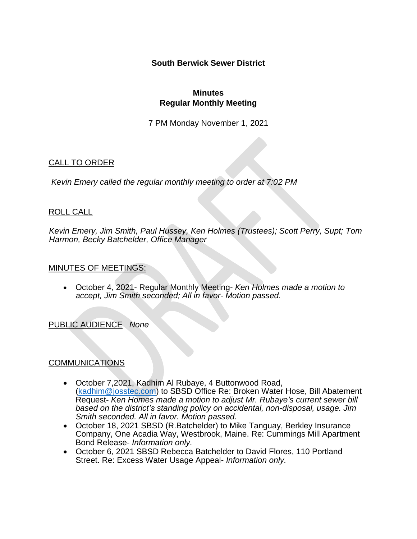**South Berwick Sewer District** 

## **Minutes Regular Monthly Meeting**

7 PM Monday November 1, 2021

# CALL TO ORDER

*Kevin Emery called the regular monthly meeting to order at 7:02 PM*

## ROLL CALL

*Kevin Emery, Jim Smith, Paul Hussey, Ken Holmes (Trustees); Scott Perry, Supt; Tom Harmon, Becky Batchelder, Office Manager*

### MINUTES OF MEETINGS:

• October 4, 2021- Regular Monthly Meeting- *Ken Holmes made a motion to accept, Jim Smith seconded; All in favor- Motion passed.*

# PUBLIC AUDIENCE *None*

# COMMUNICATIONS

- October 7,2021, Kadhim Al Rubaye, 4 Buttonwood Road, [\(kadhim@josstec.com\)](mailto:kadhim@josstec.com) to SBSD Office Re: Broken Water Hose, Bill Abatement Request- *Ken Homes made a motion to adjust Mr. Rubaye's current sewer bill based on the district's standing policy on accidental, non-disposal, usage. Jim Smith seconded. All in favor. Motion passed.*
- October 18, 2021 SBSD (R.Batchelder) to Mike Tanguay, Berkley Insurance Company, One Acadia Way, Westbrook, Maine. Re: Cummings Mill Apartment Bond Release- *Information only.*
- October 6, 2021 SBSD Rebecca Batchelder to David Flores, 110 Portland Street. Re: Excess Water Usage Appeal- *Information only.*